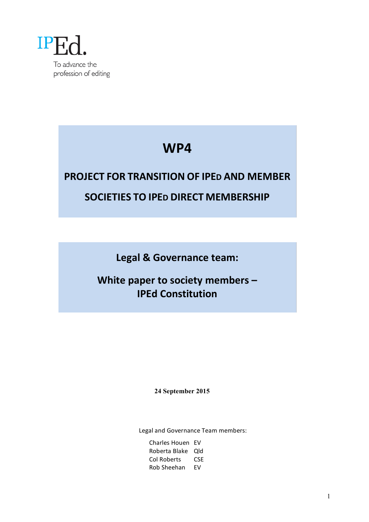

# **WP4**

# **PROJECT FOR TRANSITION OF IPED AND MEMBER SOCIETIES TO IPED DIRECT MEMBERSHIP**

Legal & Governance team:

**White paper to society members -IPEd Constitution** 

**24 September 2015**

Legal and Governance Team members:

Charles Houen EV Roberta Blake Qld Col Roberts CSE Rob Sheehan EV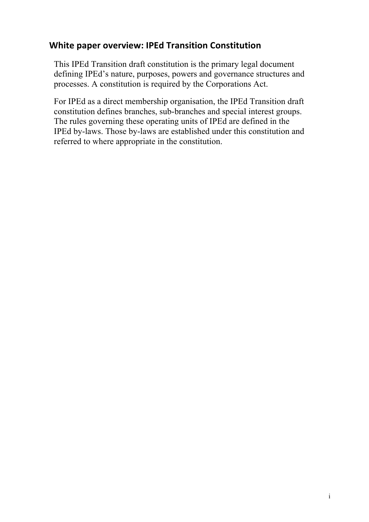# **White paper overview: IPEd Transition Constitution**

This IPEd Transition draft constitution is the primary legal document defining IPEd's nature, purposes, powers and governance structures and processes. A constitution is required by the Corporations Act.

For IPEd as a direct membership organisation, the IPEd Transition draft constitution defines branches, sub-branches and special interest groups. The rules governing these operating units of IPEd are defined in the IPEd by-laws. Those by-laws are established under this constitution and referred to where appropriate in the constitution.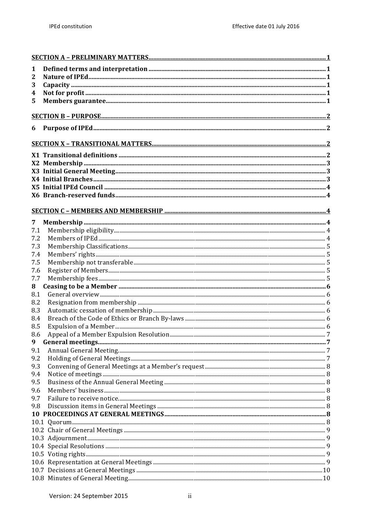| 1   |  |
|-----|--|
| 2   |  |
| 3   |  |
| 4   |  |
| 5   |  |
|     |  |
| 6   |  |
|     |  |
|     |  |
|     |  |
|     |  |
|     |  |
|     |  |
|     |  |
|     |  |
|     |  |
|     |  |
| 7   |  |
| 7.1 |  |
| 7.2 |  |
| 7.3 |  |
| 7.4 |  |
| 7.5 |  |
| 7.6 |  |
| 7.7 |  |
| 8   |  |
| 8.1 |  |
| 8.2 |  |
| 8.3 |  |
| 8.4 |  |
| 8.5 |  |
| 8.6 |  |
| 9   |  |
| 9.1 |  |
| 9.2 |  |
| 9.3 |  |
| 9.4 |  |
| 9.5 |  |
| 9.6 |  |
| 9.7 |  |
| 9.8 |  |
|     |  |
|     |  |
|     |  |
|     |  |
|     |  |
|     |  |
|     |  |
|     |  |
|     |  |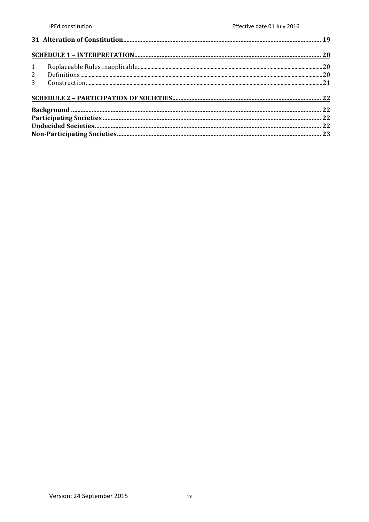| 1              |  |  |
|----------------|--|--|
| $2^{\circ}$    |  |  |
| 3 <sup>7</sup> |  |  |
|                |  |  |
|                |  |  |
|                |  |  |
|                |  |  |
|                |  |  |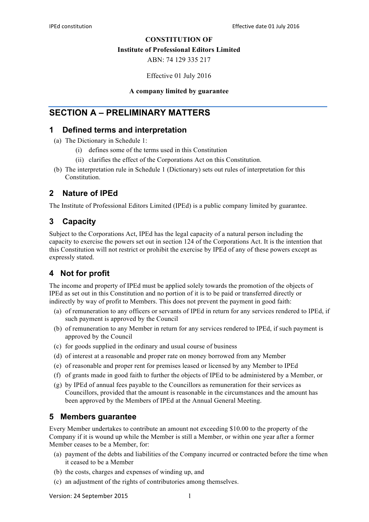#### **CONSTITUTION OF**

#### **Institute of Professional Editors Limited**

ABN: 74 129 335 217

Effective 01 July 2016

#### **A company limited by guarantee**

# **SECTION A – PRELIMINARY MATTERS**

### **1 Defined terms and interpretation**

- (a) The Dictionary in Schedule 1:
	- (i) defines some of the terms used in this Constitution
	- (ii) clarifies the effect of the Corporations Act on this Constitution.
- (b) The interpretation rule in Schedule 1 (Dictionary) sets out rules of interpretation for this Constitution.

# **2 Nature of IPEd**

The Institute of Professional Editors Limited (IPEd) is a public company limited by guarantee.

# **3 Capacity**

Subject to the Corporations Act, IPEd has the legal capacity of a natural person including the capacity to exercise the powers set out in section 124 of the Corporations Act. It is the intention that this Constitution will not restrict or prohibit the exercise by IPEd of any of these powers except as expressly stated.

# **4 Not for profit**

The income and property of IPEd must be applied solely towards the promotion of the objects of IPEd as set out in this Constitution and no portion of it is to be paid or transferred directly or indirectly by way of profit to Members. This does not prevent the payment in good faith:

- (a) of remuneration to any officers or servants of IPEd in return for any services rendered to IPEd, if such payment is approved by the Council
- (b) of remuneration to any Member in return for any services rendered to IPEd, if such payment is approved by the Council
- (c) for goods supplied in the ordinary and usual course of business
- (d) of interest at a reasonable and proper rate on money borrowed from any Member
- (e) of reasonable and proper rent for premises leased or licensed by any Member to IPEd
- (f) of grants made in good faith to further the objects of IPEd to be administered by a Member, or
- (g) by IPEd of annual fees payable to the Councillors as remuneration for their services as Councillors, provided that the amount is reasonable in the circumstances and the amount has been approved by the Members of IPEd at the Annual General Meeting.

# **5 Members guarantee**

Every Member undertakes to contribute an amount not exceeding \$10.00 to the property of the Company if it is wound up while the Member is still a Member, or within one year after a former Member ceases to be a Member, for:

- (a) payment of the debts and liabilities of the Company incurred or contracted before the time when it ceased to be a Member
- (b) the costs, charges and expenses of winding up, and
- (c) an adjustment of the rights of contributories among themselves.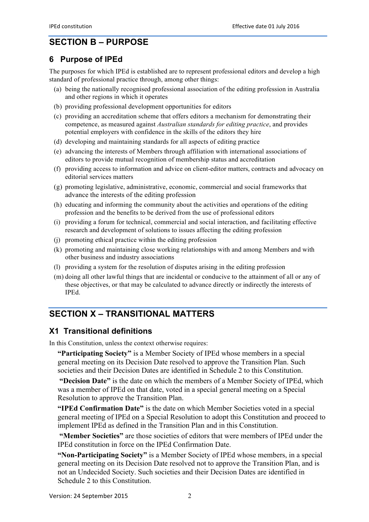# **SECTION B – PURPOSE**

# **6 Purpose of IPEd**

The purposes for which IPEd is established are to represent professional editors and develop a high standard of professional practice through, among other things:

- (a) being the nationally recognised professional association of the editing profession in Australia and other regions in which it operates
- (b) providing professional development opportunities for editors
- (c) providing an accreditation scheme that offers editors a mechanism for demonstrating their competence, as measured against *Australian standards for editing practice*, and provides potential employers with confidence in the skills of the editors they hire
- (d) developing and maintaining standards for all aspects of editing practice
- (e) advancing the interests of Members through affiliation with international associations of editors to provide mutual recognition of membership status and accreditation
- (f) providing access to information and advice on client-editor matters, contracts and advocacy on editorial services matters
- (g) promoting legislative, administrative, economic, commercial and social frameworks that advance the interests of the editing profession
- (h) educating and informing the community about the activities and operations of the editing profession and the benefits to be derived from the use of professional editors
- (i) providing a forum for technical, commercial and social interaction, and facilitating effective research and development of solutions to issues affecting the editing profession
- (j) promoting ethical practice within the editing profession
- (k) promoting and maintaining close working relationships with and among Members and with other business and industry associations
- (l) providing a system for the resolution of disputes arising in the editing profession
- (m) doing all other lawful things that are incidental or conducive to the attainment of all or any of these objectives, or that may be calculated to advance directly or indirectly the interests of IPEd.

# **SECTION X – TRANSITIONAL MATTERS**

# **X1 Transitional definitions**

In this Constitution, unless the context otherwise requires:

**"Participating Society"** is a Member Society of IPEd whose members in a special general meeting on its Decision Date resolved to approve the Transition Plan. Such societies and their Decision Dates are identified in Schedule 2 to this Constitution.

**"Decision Date"** is the date on which the members of a Member Society of IPEd, which was a member of IPEd on that date, voted in a special general meeting on a Special Resolution to approve the Transition Plan.

**"IPEd Confirmation Date"** is the date on which Member Societies voted in a special general meeting of IPEd on a Special Resolution to adopt this Constitution and proceed to implement IPEd as defined in the Transition Plan and in this Constitution.

**"Member Societies"** are those societies of editors that were members of IPEd under the IPEd constitution in force on the IPEd Confirmation Date.

**"Non-Participating Society"** is a Member Society of IPEd whose members, in a special general meeting on its Decision Date resolved not to approve the Transition Plan, and is not an Undecided Society. Such societies and their Decision Dates are identified in Schedule 2 to this Constitution.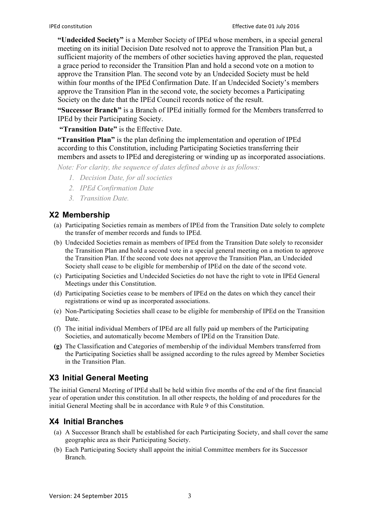**"Undecided Society"** is a Member Society of IPEd whose members, in a special general meeting on its initial Decision Date resolved not to approve the Transition Plan but, a sufficient majority of the members of other societies having approved the plan, requested a grace period to reconsider the Transition Plan and hold a second vote on a motion to approve the Transition Plan. The second vote by an Undecided Society must be held within four months of the IPEd Confirmation Date. If an Undecided Society's members approve the Transition Plan in the second vote, the society becomes a Participating Society on the date that the IPEd Council records notice of the result.

**"Successor Branch"** is a Branch of IPEd initially formed for the Members transferred to IPEd by their Participating Society.

**"Transition Date"** is the Effective Date.

**"Transition Plan"** is the plan defining the implementation and operation of IPEd according to this Constitution, including Participating Societies transferring their members and assets to IPEd and deregistering or winding up as incorporated associations.

*Note: For clarity, the sequence of dates defined above is as follows:*

- *1. Decision Date, for all societies*
- *2. IPEd Confirmation Date*
- *3. Transition Date.*

# **X2 Membership**

- (a) Participating Societies remain as members of IPEd from the Transition Date solely to complete the transfer of member records and funds to IPEd.
- (b) Undecided Societies remain as members of IPEd from the Transition Date solely to reconsider the Transition Plan and hold a second vote in a special general meeting on a motion to approve the Transition Plan. If the second vote does not approve the Transition Plan, an Undecided Society shall cease to be eligible for membership of IPEd on the date of the second vote.
- (c) Participating Societies and Undecided Societies do not have the right to vote in IPEd General Meetings under this Constitution.
- (d) Participating Societies cease to be members of IPEd on the dates on which they cancel their registrations or wind up as incorporated associations.
- (e) Non-Participating Societies shall cease to be eligible for membership of IPEd on the Transition Date.
- (f) The initial individual Members of IPEd are all fully paid up members of the Participating Societies, and automatically become Members of IPEd on the Transition Date.
- **(g)** The Classification and Categories of membership of the individual Members transferred from the Participating Societies shall be assigned according to the rules agreed by Member Societies in the Transition Plan.

# **X3 Initial General Meeting**

The initial General Meeting of IPEd shall be held within five months of the end of the first financial year of operation under this constitution. In all other respects, the holding of and procedures for the initial General Meeting shall be in accordance with Rule 9 of this Constitution.

# **X4 Initial Branches**

- (a) A Successor Branch shall be established for each Participating Society, and shall cover the same geographic area as their Participating Society.
- (b) Each Participating Society shall appoint the initial Committee members for its Successor Branch.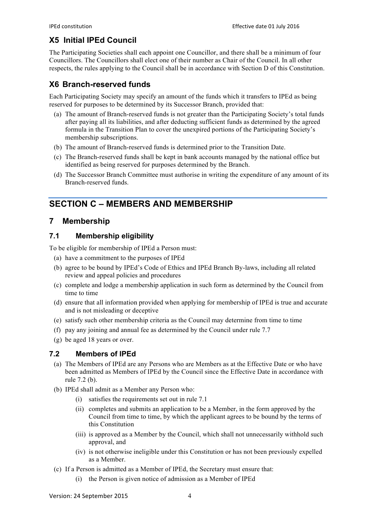# **X5 Initial IPEd Council**

The Participating Societies shall each appoint one Councillor, and there shall be a minimum of four Councillors. The Councillors shall elect one of their number as Chair of the Council. In all other respects, the rules applying to the Council shall be in accordance with Section D of this Constitution.

# **X6 Branch-reserved funds**

Each Participating Society may specify an amount of the funds which it transfers to IPEd as being reserved for purposes to be determined by its Successor Branch, provided that:

- (a) The amount of Branch-reserved funds is not greater than the Participating Society's total funds after paying all its liabilities, and after deducting sufficient funds as determined by the agreed formula in the Transition Plan to cover the unexpired portions of the Participating Society's membership subscriptions.
- (b) The amount of Branch-reserved funds is determined prior to the Transition Date.
- (c) The Branch-reserved funds shall be kept in bank accounts managed by the national office but identified as being reserved for purposes determined by the Branch.
- (d) The Successor Branch Committee must authorise in writing the expenditure of any amount of its Branch-reserved funds.

# **SECTION C – MEMBERS AND MEMBERSHIP**

# **7 Membership**

### **7.1 Membership eligibility**

To be eligible for membership of IPEd a Person must:

- (a) have a commitment to the purposes of IPEd
- (b) agree to be bound by IPEd's Code of Ethics and IPEd Branch By-laws, including all related review and appeal policies and procedures
- (c) complete and lodge a membership application in such form as determined by the Council from time to time
- (d) ensure that all information provided when applying for membership of IPEd is true and accurate and is not misleading or deceptive
- (e) satisfy such other membership criteria as the Council may determine from time to time
- (f) pay any joining and annual fee as determined by the Council under rule 7.7
- (g) be aged 18 years or over.

### **7.2 Members of IPEd**

- (a) The Members of IPEd are any Persons who are Members as at the Effective Date or who have been admitted as Members of IPEd by the Council since the Effective Date in accordance with rule 7.2 (b).
- (b) IPEd shall admit as a Member any Person who:
	- (i) satisfies the requirements set out in rule 7.1
	- (ii) completes and submits an application to be a Member, in the form approved by the Council from time to time, by which the applicant agrees to be bound by the terms of this Constitution
	- (iii) is approved as a Member by the Council, which shall not unnecessarily withhold such approval, and
	- (iv) is not otherwise ineligible under this Constitution or has not been previously expelled as a Member.
- (c) If a Person is admitted as a Member of IPEd, the Secretary must ensure that:
	- (i) the Person is given notice of admission as a Member of IPEd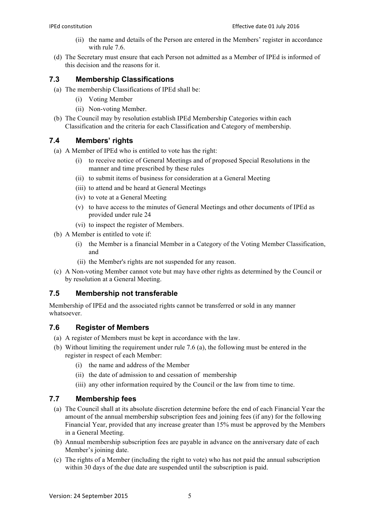- (ii) the name and details of the Person are entered in the Members' register in accordance with rule 7.6
- (d) The Secretary must ensure that each Person not admitted as a Member of IPEd is informed of this decision and the reasons for it.

### **7.3 Membership Classifications**

- (a) The membership Classifications of IPEd shall be:
	- (i) Voting Member
	- (ii) Non-voting Member.
- (b) The Council may by resolution establish IPEd Membership Categories within each Classification and the criteria for each Classification and Category of membership.

# **7.4 Members' rights**

- (a) A Member of IPEd who is entitled to vote has the right:
	- (i) to receive notice of General Meetings and of proposed Special Resolutions in the manner and time prescribed by these rules
	- (ii) to submit items of business for consideration at a General Meeting
	- (iii) to attend and be heard at General Meetings
	- (iv) to vote at a General Meeting
	- (v) to have access to the minutes of General Meetings and other documents of IPEd as provided under rule 24
	- (vi) to inspect the register of Members.
- (b) A Member is entitled to vote if:
	- (i) the Member is a financial Member in a Category of the Voting Member Classification, and
	- (ii) the Member's rights are not suspended for any reason.
- (c) A Non-voting Member cannot vote but may have other rights as determined by the Council or by resolution at a General Meeting.

# **7.5 Membership not transferable**

Membership of IPEd and the associated rights cannot be transferred or sold in any manner whatsoever.

# **7.6 Register of Members**

- (a) A register of Members must be kept in accordance with the law.
- (b) Without limiting the requirement under rule 7.6 (a), the following must be entered in the register in respect of each Member:
	- (i) the name and address of the Member
	- (ii) the date of admission to and cessation of membership
	- (iii) any other information required by the Council or the law from time to time.

# **7.7 Membership fees**

- (a) The Council shall at its absolute discretion determine before the end of each Financial Year the amount of the annual membership subscription fees and joining fees (if any) for the following Financial Year, provided that any increase greater than 15% must be approved by the Members in a General Meeting.
- (b) Annual membership subscription fees are payable in advance on the anniversary date of each Member's joining date.
- (c) The rights of a Member (including the right to vote) who has not paid the annual subscription within 30 days of the due date are suspended until the subscription is paid.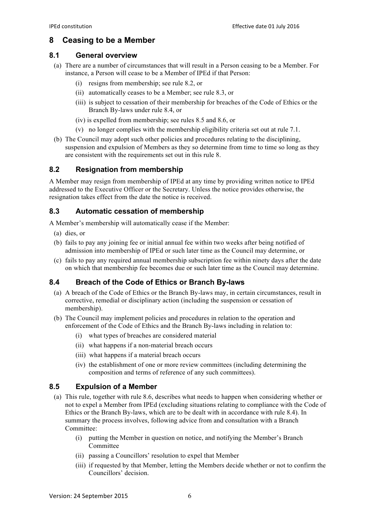# **8 Ceasing to be a Member**

#### **8.1 General overview**

- (a) There are a number of circumstances that will result in a Person ceasing to be a Member. For instance, a Person will cease to be a Member of IPEd if that Person:
	- (i) resigns from membership; see rule 8.2, or
	- (ii) automatically ceases to be a Member; see rule 8.3, or
	- (iii) is subject to cessation of their membership for breaches of the Code of Ethics or the Branch By-laws under rule 8.4, or
	- (iv) is expelled from membership; see rules 8.5 and 8.6, or
	- (v) no longer complies with the membership eligibility criteria set out at rule 7.1.
- (b) The Council may adopt such other policies and procedures relating to the disciplining, suspension and expulsion of Members as they so determine from time to time so long as they are consistent with the requirements set out in this rule 8.

### **8.2 Resignation from membership**

A Member may resign from membership of IPEd at any time by providing written notice to IPEd addressed to the Executive Officer or the Secretary. Unless the notice provides otherwise, the resignation takes effect from the date the notice is received.

### **8.3 Automatic cessation of membership**

A Member's membership will automatically cease if the Member:

- (a) dies, or
- (b) fails to pay any joining fee or initial annual fee within two weeks after being notified of admission into membership of IPEd or such later time as the Council may determine, or
- (c) fails to pay any required annual membership subscription fee within ninety days after the date on which that membership fee becomes due or such later time as the Council may determine.

### **8.4 Breach of the Code of Ethics or Branch By-laws**

- (a) A breach of the Code of Ethics or the Branch By-laws may, in certain circumstances, result in corrective, remedial or disciplinary action (including the suspension or cessation of membership).
- (b) The Council may implement policies and procedures in relation to the operation and enforcement of the Code of Ethics and the Branch By-laws including in relation to:
	- (i) what types of breaches are considered material
	- (ii) what happens if a non-material breach occurs
	- (iii) what happens if a material breach occurs
	- (iv) the establishment of one or more review committees (including determining the composition and terms of reference of any such committees).

### **8.5 Expulsion of a Member**

- (a) This rule, together with rule 8.6, describes what needs to happen when considering whether or not to expel a Member from IPEd (excluding situations relating to compliance with the Code of Ethics or the Branch By-laws, which are to be dealt with in accordance with rule 8.4). In summary the process involves, following advice from and consultation with a Branch Committee:
	- (i) putting the Member in question on notice, and notifying the Member's Branch Committee
	- (ii) passing a Councillors' resolution to expel that Member
	- (iii) if requested by that Member, letting the Members decide whether or not to confirm the Councillors' decision.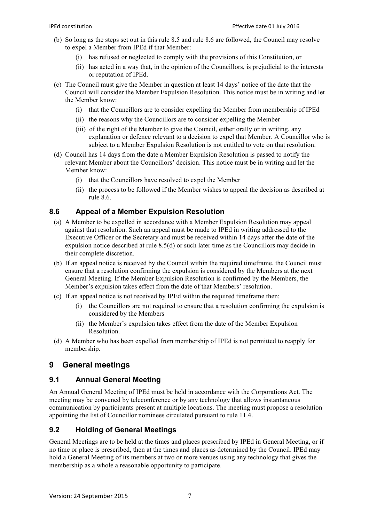- (b) So long as the steps set out in this rule 8.5 and rule 8.6 are followed, the Council may resolve to expel a Member from IPEd if that Member:
	- (i) has refused or neglected to comply with the provisions of this Constitution, or
	- (ii) has acted in a way that, in the opinion of the Councillors, is prejudicial to the interests or reputation of IPEd.
- (c) The Council must give the Member in question at least 14 days' notice of the date that the Council will consider the Member Expulsion Resolution. This notice must be in writing and let the Member know:
	- (i) that the Councillors are to consider expelling the Member from membership of IPEd
	- (ii) the reasons why the Councillors are to consider expelling the Member
	- (iii) of the right of the Member to give the Council, either orally or in writing, any explanation or defence relevant to a decision to expel that Member. A Councillor who is subject to a Member Expulsion Resolution is not entitled to vote on that resolution.
- (d) Council has 14 days from the date a Member Expulsion Resolution is passed to notify the relevant Member about the Councillors' decision. This notice must be in writing and let the Member know:
	- (i) that the Councillors have resolved to expel the Member
	- (ii) the process to be followed if the Member wishes to appeal the decision as described at rule 8.6.

### **8.6 Appeal of a Member Expulsion Resolution**

- (a) A Member to be expelled in accordance with a Member Expulsion Resolution may appeal against that resolution. Such an appeal must be made to IPEd in writing addressed to the Executive Officer or the Secretary and must be received within 14 days after the date of the expulsion notice described at rule 8.5(d) or such later time as the Councillors may decide in their complete discretion.
- (b) If an appeal notice is received by the Council within the required timeframe, the Council must ensure that a resolution confirming the expulsion is considered by the Members at the next General Meeting. If the Member Expulsion Resolution is confirmed by the Members, the Member's expulsion takes effect from the date of that Members' resolution.
- (c) If an appeal notice is not received by IPEd within the required timeframe then:
	- (i) the Councillors are not required to ensure that a resolution confirming the expulsion is considered by the Members
	- (ii) the Member's expulsion takes effect from the date of the Member Expulsion Resolution.
- (d) A Member who has been expelled from membership of IPEd is not permitted to reapply for membership.

# **9 General meetings**

### **9.1 Annual General Meeting**

An Annual General Meeting of IPEd must be held in accordance with the Corporations Act. The meeting may be convened by teleconference or by any technology that allows instantaneous communication by participants present at multiple locations. The meeting must propose a resolution appointing the list of Councillor nominees circulated pursuant to rule 11.4.

### **9.2 Holding of General Meetings**

General Meetings are to be held at the times and places prescribed by IPEd in General Meeting, or if no time or place is prescribed, then at the times and places as determined by the Council. IPEd may hold a General Meeting of its members at two or more venues using any technology that gives the membership as a whole a reasonable opportunity to participate.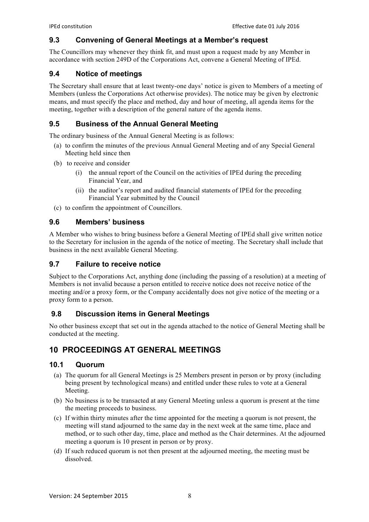### **9.3 Convening of General Meetings at a Member's request**

The Councillors may whenever they think fit, and must upon a request made by any Member in accordance with section 249D of the Corporations Act, convene a General Meeting of IPEd.

#### **9.4 Notice of meetings**

The Secretary shall ensure that at least twenty-one days' notice is given to Members of a meeting of Members (unless the Corporations Act otherwise provides). The notice may be given by electronic means, and must specify the place and method, day and hour of meeting, all agenda items for the meeting, together with a description of the general nature of the agenda items.

### **9.5 Business of the Annual General Meeting**

The ordinary business of the Annual General Meeting is as follows:

- (a) to confirm the minutes of the previous Annual General Meeting and of any Special General Meeting held since then
- (b) to receive and consider
	- (i) the annual report of the Council on the activities of IPEd during the preceding Financial Year, and
	- (ii) the auditor's report and audited financial statements of IPEd for the preceding Financial Year submitted by the Council
- (c) to confirm the appointment of Councillors.

### **9.6 Members' business**

A Member who wishes to bring business before a General Meeting of IPEd shall give written notice to the Secretary for inclusion in the agenda of the notice of meeting. The Secretary shall include that business in the next available General Meeting.

### **9.7 Failure to receive notice**

Subject to the Corporations Act, anything done (including the passing of a resolution) at a meeting of Members is not invalid because a person entitled to receive notice does not receive notice of the meeting and/or a proxy form, or the Company accidentally does not give notice of the meeting or a proxy form to a person.

### **9.8 Discussion items in General Meetings**

No other business except that set out in the agenda attached to the notice of General Meeting shall be conducted at the meeting.

# **10 PROCEEDINGS AT GENERAL MEETINGS**

#### **10.1 Quorum**

- (a) The quorum for all General Meetings is 25 Members present in person or by proxy (including being present by technological means) and entitled under these rules to vote at a General Meeting.
- (b) No business is to be transacted at any General Meeting unless a quorum is present at the time the meeting proceeds to business.
- (c) If within thirty minutes after the time appointed for the meeting a quorum is not present, the meeting will stand adjourned to the same day in the next week at the same time, place and method, or to such other day, time, place and method as the Chair determines. At the adjourned meeting a quorum is 10 present in person or by proxy.
- (d) If such reduced quorum is not then present at the adjourned meeting, the meeting must be dissolved.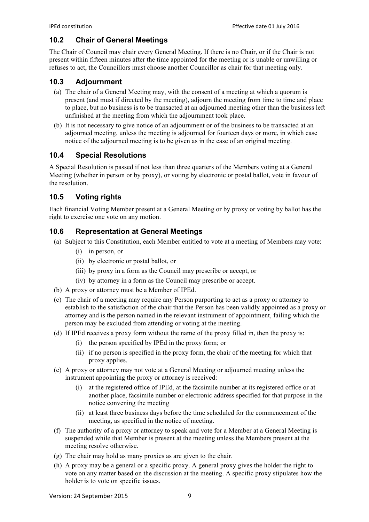### **10.2 Chair of General Meetings**

The Chair of Council may chair every General Meeting. If there is no Chair, or if the Chair is not present within fifteen minutes after the time appointed for the meeting or is unable or unwilling or refuses to act, the Councillors must choose another Councillor as chair for that meeting only.

### **10.3 Adjournment**

- (a) The chair of a General Meeting may, with the consent of a meeting at which a quorum is present (and must if directed by the meeting), adjourn the meeting from time to time and place to place, but no business is to be transacted at an adjourned meeting other than the business left unfinished at the meeting from which the adjournment took place.
- (b) It is not necessary to give notice of an adjournment or of the business to be transacted at an adjourned meeting, unless the meeting is adjourned for fourteen days or more, in which case notice of the adjourned meeting is to be given as in the case of an original meeting.

### **10.4 Special Resolutions**

A Special Resolution is passed if not less than three quarters of the Members voting at a General Meeting (whether in person or by proxy), or voting by electronic or postal ballot, vote in favour of the resolution.

### **10.5 Voting rights**

Each financial Voting Member present at a General Meeting or by proxy or voting by ballot has the right to exercise one vote on any motion.

### **10.6 Representation at General Meetings**

- (a) Subject to this Constitution, each Member entitled to vote at a meeting of Members may vote:
	- (i) in person, or
	- (ii) by electronic or postal ballot, or
	- (iii) by proxy in a form as the Council may prescribe or accept, or
	- (iv) by attorney in a form as the Council may prescribe or accept.
- (b) A proxy or attorney must be a Member of IPEd.
- (c) The chair of a meeting may require any Person purporting to act as a proxy or attorney to establish to the satisfaction of the chair that the Person has been validly appointed as a proxy or attorney and is the person named in the relevant instrument of appointment, failing which the person may be excluded from attending or voting at the meeting.
- (d) If IPEd receives a proxy form without the name of the proxy filled in, then the proxy is:
	- (i) the person specified by IPEd in the proxy form; or
	- (ii) if no person is specified in the proxy form, the chair of the meeting for which that proxy applies.
- (e) A proxy or attorney may not vote at a General Meeting or adjourned meeting unless the instrument appointing the proxy or attorney is received:
	- (i) at the registered office of IPEd, at the facsimile number at its registered office or at another place, facsimile number or electronic address specified for that purpose in the notice convening the meeting
	- (ii) at least three business days before the time scheduled for the commencement of the meeting, as specified in the notice of meeting.
- (f) The authority of a proxy or attorney to speak and vote for a Member at a General Meeting is suspended while that Member is present at the meeting unless the Members present at the meeting resolve otherwise.
- (g) The chair may hold as many proxies as are given to the chair.
- (h) A proxy may be a general or a specific proxy. A general proxy gives the holder the right to vote on any matter based on the discussion at the meeting. A specific proxy stipulates how the holder is to vote on specific issues.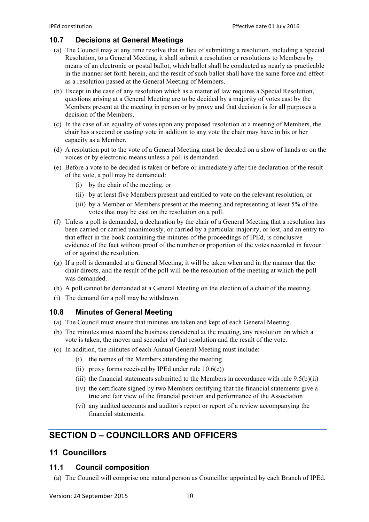### **10.7 Decisions at General Meetings**

- (a) The Council may at any time resolve that in lieu of submitting a resolution, including a Special Resolution, to a General Meeting, it shall submit a resolution or resolutions to Members by means of an electronic or postal ballot, which ballot shall be conducted as nearly as practicable in the manner set forth herein, and the result of such ballot shall have the same force and effect as a resolution passed at the General Meeting of Members.
- (b) Except in the case of any resolution which as a matter of law requires a Special Resolution, questions arising at a General Meeting are to be decided by a majority of votes cast by the Members present at the meeting in person or by proxy and that decision is for all purposes a decision of the Members.
- (c) In the case of an equality of votes upon any proposed resolution at a meeting of Members, the chair has a second or casting vote in addition to any vote the chair may have in his or her capacity as a Member.
- (d) A resolution put to the vote of a General Meeting must be decided on a show of hands or on the voices or by electronic means unless a poll is demanded.
- (e) Before a vote to be decided is taken or before or immediately after the declaration of the result of the vote, a poll may be demanded:
	- (i) by the chair of the meeting, or
	- (ii) by at least five Members present and entitled to vote on the relevant resolution, or
	- (iii) by a Member or Members present at the meeting and representing at least 5% of the votes that may be cast on the resolution on a poll.
- (f) Unless a poll is demanded, a declaration by the chair of a General Meeting that a resolution has been carried or carried unanimously, or carried by a particular majority, or lost, and an entry to that effect in the book containing the minutes of the proceedings of IPEd, is conclusive evidence of the fact without proof of the number or proportion of the votes recorded in favour of or against the resolution.
- (g) If a poll is demanded at a General Meeting, it will be taken when and in the manner that the chair directs, and the result of the poll will be the resolution of the meeting at which the poll was demanded.
- (h) A poll cannot be demanded at a General Meeting on the election of a chair of the meeting.
- (i) The demand for a poll may be withdrawn.

### **10.8 Minutes of General Meeting**

- (a) The Council must ensure that minutes are taken and kept of each General Meeting.
- (b) The minutes must record the business considered at the meeting, any resolution on which a vote is taken, the mover and seconder of that resolution and the result of the vote.
- (c) In addition, the minutes of each Annual General Meeting must include:
	- (i) the names of the Members attending the meeting
	- (ii) proxy forms received by IPEd under rule  $10.6(e)$ )
	- (iii) the financial statements submitted to the Members in accordance with rule  $9.5(b)(ii)$
	- (iv) the certificate signed by two Members certifying that the financial statements give a true and fair view of the financial position and performance of the Association
	- (vi) any audited accounts and auditor's report or report of a review accompanying the financial statements.

# **SECTION D – COUNCILLORS AND OFFICERS**

# **11 Councillors**

#### **11.1 Council composition**

(a) The Council will comprise one natural person as Councillor appointed by each Branch of IPEd.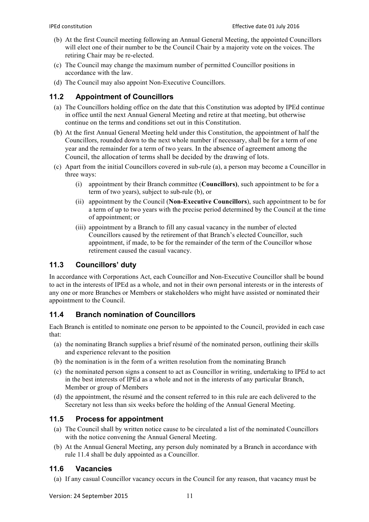- (b) At the first Council meeting following an Annual General Meeting, the appointed Councillors will elect one of their number to be the Council Chair by a majority vote on the voices. The retiring Chair may be re-elected.
- (c) The Council may change the maximum number of permitted Councillor positions in accordance with the law.
- (d) The Council may also appoint Non-Executive Councillors.

### **11.2 Appointment of Councillors**

- (a) The Councillors holding office on the date that this Constitution was adopted by IPEd continue in office until the next Annual General Meeting and retire at that meeting, but otherwise continue on the terms and conditions set out in this Constitution.
- (b) At the first Annual General Meeting held under this Constitution, the appointment of half the Councillors, rounded down to the next whole number if necessary, shall be for a term of one year and the remainder for a term of two years. In the absence of agreement among the Council, the allocation of terms shall be decided by the drawing of lots.
- (c) Apart from the initial Councillors covered in sub-rule (a), a person may become a Councillor in three ways:
	- (i) appointment by their Branch committee (**Councillors)**, such appointment to be for a term of two years), subject to sub-rule (b), or
	- (ii) appointment by the Council (**Non-Executive Councillors**), such appointment to be for a term of up to two years with the precise period determined by the Council at the time of appointment; or
	- (iii) appointment by a Branch to fill any casual vacancy in the number of elected Councillors caused by the retirement of that Branch's elected Councillor, such appointment, if made, to be for the remainder of the term of the Councillor whose retirement caused the casual vacancy.

# **11.3 Councillors' duty**

In accordance with Corporations Act, each Councillor and Non-Executive Councillor shall be bound to act in the interests of IPEd as a whole, and not in their own personal interests or in the interests of any one or more Branches or Members or stakeholders who might have assisted or nominated their appointment to the Council.

### **11.4 Branch nomination of Councillors**

Each Branch is entitled to nominate one person to be appointed to the Council, provided in each case that:

- (a) the nominating Branch supplies a brief résumé of the nominated person, outlining their skills and experience relevant to the position
- (b) the nomination is in the form of a written resolution from the nominating Branch
- (c) the nominated person signs a consent to act as Councillor in writing, undertaking to IPEd to act in the best interests of IPEd as a whole and not in the interests of any particular Branch, Member or group of Members
- (d) the appointment, the résumé and the consent referred to in this rule are each delivered to the Secretary not less than six weeks before the holding of the Annual General Meeting.

### **11.5 Process for appointment**

- (a) The Council shall by written notice cause to be circulated a list of the nominated Councillors with the notice convening the Annual General Meeting.
- (b) At the Annual General Meeting, any person duly nominated by a Branch in accordance with rule 11.4 shall be duly appointed as a Councillor.

### **11.6 Vacancies**

(a) If any casual Councillor vacancy occurs in the Council for any reason, that vacancy must be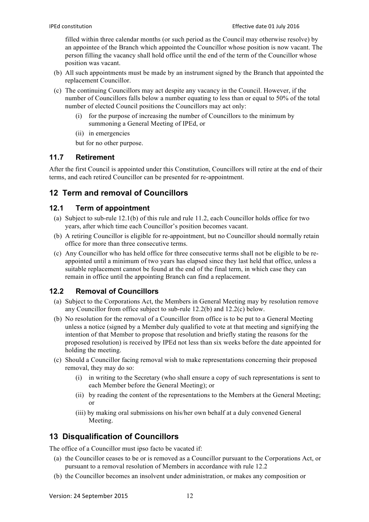filled within three calendar months (or such period as the Council may otherwise resolve) by an appointee of the Branch which appointed the Councillor whose position is now vacant. The person filling the vacancy shall hold office until the end of the term of the Councillor whose position was vacant.

- (b) All such appointments must be made by an instrument signed by the Branch that appointed the replacement Councillor.
- (c) The continuing Councillors may act despite any vacancy in the Council. However, if the number of Councillors falls below a number equating to less than or equal to 50% of the total number of elected Council positions the Councillors may act only:
	- (i) for the purpose of increasing the number of Councillors to the minimum by summoning a General Meeting of IPEd, or
	- (ii) in emergencies

but for no other purpose.

# **11.7 Retirement**

After the first Council is appointed under this Constitution, Councillors will retire at the end of their terms, and each retired Councillor can be presented for re-appointment.

# **12 Term and removal of Councillors**

### **12.1 Term of appointment**

- (a) Subject to sub-rule 12.1(b) of this rule and rule 11.2, each Councillor holds office for two years, after which time each Councillor's position becomes vacant.
- (b) A retiring Councillor is eligible for re-appointment, but no Councillor should normally retain office for more than three consecutive terms.
- (c) Any Councillor who has held office for three consecutive terms shall not be eligible to be reappointed until a minimum of two years has elapsed since they last held that office, unless a suitable replacement cannot be found at the end of the final term, in which case they can remain in office until the appointing Branch can find a replacement.

# **12.2 Removal of Councillors**

- (a) Subject to the Corporations Act, the Members in General Meeting may by resolution remove any Councillor from office subject to sub-rule 12.2(b) and 12.2(c) below.
- (b) No resolution for the removal of a Councillor from office is to be put to a General Meeting unless a notice (signed by a Member duly qualified to vote at that meeting and signifying the intention of that Member to propose that resolution and briefly stating the reasons for the proposed resolution) is received by IPEd not less than six weeks before the date appointed for holding the meeting.
- (c) Should a Councillor facing removal wish to make representations concerning their proposed removal, they may do so:
	- (i) in writing to the Secretary (who shall ensure a copy of such representations is sent to each Member before the General Meeting); or
	- (ii) by reading the content of the representations to the Members at the General Meeting; or
	- (iii) by making oral submissions on his/her own behalf at a duly convened General Meeting.

# **13 Disqualification of Councillors**

The office of a Councillor must ipso facto be vacated if:

- (a) the Councillor ceases to be or is removed as a Councillor pursuant to the Corporations Act, or pursuant to a removal resolution of Members in accordance with rule 12.2
- (b) the Councillor becomes an insolvent under administration, or makes any composition or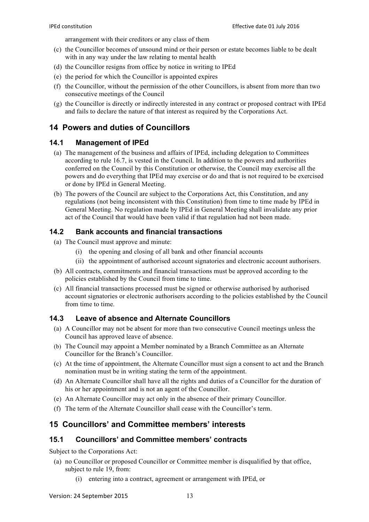arrangement with their creditors or any class of them

- (c) the Councillor becomes of unsound mind or their person or estate becomes liable to be dealt with in any way under the law relating to mental health
- (d) the Councillor resigns from office by notice in writing to IPEd
- (e) the period for which the Councillor is appointed expires
- (f) the Councillor, without the permission of the other Councillors, is absent from more than two consecutive meetings of the Council
- (g) the Councillor is directly or indirectly interested in any contract or proposed contract with IPEd and fails to declare the nature of that interest as required by the Corporations Act.

### **14 Powers and duties of Councillors**

#### **14.1 Management of IPEd**

- (a) The management of the business and affairs of IPEd, including delegation to Committees according to rule 16.7, is vested in the Council. In addition to the powers and authorities conferred on the Council by this Constitution or otherwise, the Council may exercise all the powers and do everything that IPEd may exercise or do and that is not required to be exercised or done by IPEd in General Meeting.
- (b) The powers of the Council are subject to the Corporations Act, this Constitution, and any regulations (not being inconsistent with this Constitution) from time to time made by IPEd in General Meeting. No regulation made by IPEd in General Meeting shall invalidate any prior act of the Council that would have been valid if that regulation had not been made.

#### **14.2 Bank accounts and financial transactions**

- (a) The Council must approve and minute:
	- (i) the opening and closing of all bank and other financial accounts
	- (ii) the appointment of authorised account signatories and electronic account authorisers.
- (b) All contracts, commitments and financial transactions must be approved according to the policies established by the Council from time to time.
- (c) All financial transactions processed must be signed or otherwise authorised by authorised account signatories or electronic authorisers according to the policies established by the Council from time to time.

### **14.3 Leave of absence and Alternate Councillors**

- (a) A Councillor may not be absent for more than two consecutive Council meetings unless the Council has approved leave of absence.
- (b) The Council may appoint a Member nominated by a Branch Committee as an Alternate Councillor for the Branch's Councillor.
- (c) At the time of appointment, the Alternate Councillor must sign a consent to act and the Branch nomination must be in writing stating the term of the appointment.
- (d) An Alternate Councillor shall have all the rights and duties of a Councillor for the duration of his or her appointment and is not an agent of the Councillor.
- (e) An Alternate Councillor may act only in the absence of their primary Councillor.
- (f) The term of the Alternate Councillor shall cease with the Councillor's term.

### **15 Councillors' and Committee members' interests**

#### **15.1 Councillors' and Committee members' contracts**

Subject to the Corporations Act:

- (a) no Councillor or proposed Councillor or Committee member is disqualified by that office, subject to rule 19, from:
	- (i) entering into a contract, agreement or arrangement with IPEd, or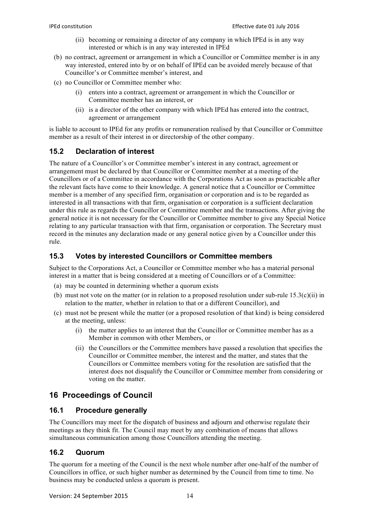- (ii) becoming or remaining a director of any company in which IPEd is in any way interested or which is in any way interested in IPEd
- (b) no contract, agreement or arrangement in which a Councillor or Committee member is in any way interested, entered into by or on behalf of IPEd can be avoided merely because of that Councillor's or Committee member's interest, and
- (c) no Councillor or Committee member who:
	- (i) enters into a contract, agreement or arrangement in which the Councillor or Committee member has an interest, or
	- (ii) is a director of the other company with which IPEd has entered into the contract, agreement or arrangement

is liable to account to IPEd for any profits or remuneration realised by that Councillor or Committee member as a result of their interest in or directorship of the other company.

### **15.2 Declaration of interest**

The nature of a Councillor's or Committee member's interest in any contract, agreement or arrangement must be declared by that Councillor or Committee member at a meeting of the Councillors or of a Committee in accordance with the Corporations Act as soon as practicable after the relevant facts have come to their knowledge. A general notice that a Councillor or Committee member is a member of any specified firm, organisation or corporation and is to be regarded as interested in all transactions with that firm, organisation or corporation is a sufficient declaration under this rule as regards the Councillor or Committee member and the transactions. After giving the general notice it is not necessary for the Councillor or Committee member to give any Special Notice relating to any particular transaction with that firm, organisation or corporation. The Secretary must record in the minutes any declaration made or any general notice given by a Councillor under this rule.

### **15.3 Votes by interested Councillors or Committee members**

Subject to the Corporations Act, a Councillor or Committee member who has a material personal interest in a matter that is being considered at a meeting of Councillors or of a Committee:

- (a) may be counted in determining whether a quorum exists
- (b) must not vote on the matter (or in relation to a proposed resolution under sub-rule  $15.3(c)(ii)$  in relation to the matter, whether in relation to that or a different Councillor), and
- (c) must not be present while the matter (or a proposed resolution of that kind) is being considered at the meeting, unless:
	- (i) the matter applies to an interest that the Councillor or Committee member has as a Member in common with other Members, or
	- (ii) the Councillors or the Committee members have passed a resolution that specifies the Councillor or Committee member, the interest and the matter, and states that the Councillors or Committee members voting for the resolution are satisfied that the interest does not disqualify the Councillor or Committee member from considering or voting on the matter.

# **16 Proceedings of Council**

### **16.1 Procedure generally**

The Councillors may meet for the dispatch of business and adjourn and otherwise regulate their meetings as they think fit. The Council may meet by any combination of means that allows simultaneous communication among those Councillors attending the meeting.

### **16.2 Quorum**

The quorum for a meeting of the Council is the next whole number after one-half of the number of Councillors in office, or such higher number as determined by the Council from time to time. No business may be conducted unless a quorum is present.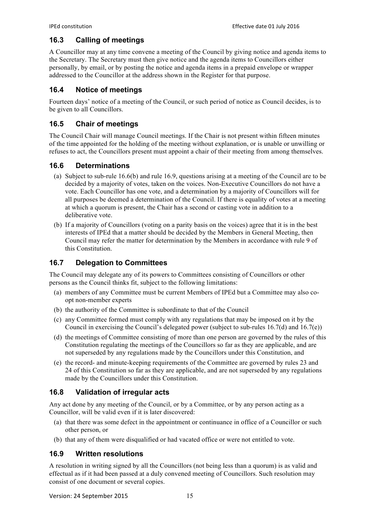### **16.3 Calling of meetings**

A Councillor may at any time convene a meeting of the Council by giving notice and agenda items to the Secretary. The Secretary must then give notice and the agenda items to Councillors either personally, by email, or by posting the notice and agenda items in a prepaid envelope or wrapper addressed to the Councillor at the address shown in the Register for that purpose.

# **16.4 Notice of meetings**

Fourteen days' notice of a meeting of the Council, or such period of notice as Council decides, is to be given to all Councillors.

# **16.5 Chair of meetings**

The Council Chair will manage Council meetings. If the Chair is not present within fifteen minutes of the time appointed for the holding of the meeting without explanation, or is unable or unwilling or refuses to act, the Councillors present must appoint a chair of their meeting from among themselves.

# **16.6 Determinations**

- (a) Subject to sub-rule 16.6(b) and rule 16.9, questions arising at a meeting of the Council are to be decided by a majority of votes, taken on the voices. Non-Executive Councillors do not have a vote. Each Councillor has one vote, and a determination by a majority of Councillors will for all purposes be deemed a determination of the Council. If there is equality of votes at a meeting at which a quorum is present, the Chair has a second or casting vote in addition to a deliberative vote.
- (b) If a majority of Councillors (voting on a parity basis on the voices) agree that it is in the best interests of IPEd that a matter should be decided by the Members in General Meeting, then Council may refer the matter for determination by the Members in accordance with rule 9 of this Constitution.

# **16.7 Delegation to Committees**

The Council may delegate any of its powers to Committees consisting of Councillors or other persons as the Council thinks fit, subject to the following limitations:

- (a) members of any Committee must be current Members of IPEd but a Committee may also coopt non-member experts
- (b) the authority of the Committee is subordinate to that of the Council
- (c) any Committee formed must comply with any regulations that may be imposed on it by the Council in exercising the Council's delegated power (subject to sub-rules  $16.7(d)$  and  $16.7(e)$ )
- (d) the meetings of Committee consisting of more than one person are governed by the rules of this Constitution regulating the meetings of the Councillors so far as they are applicable, and are not superseded by any regulations made by the Councillors under this Constitution, and
- (e) the record- and minute-keeping requirements of the Committee are governed by rules 23 and 24 of this Constitution so far as they are applicable, and are not superseded by any regulations made by the Councillors under this Constitution.

# **16.8 Validation of irregular acts**

Any act done by any meeting of the Council, or by a Committee, or by any person acting as a Councillor, will be valid even if it is later discovered:

- (a) that there was some defect in the appointment or continuance in office of a Councillor or such other person, or
- (b) that any of them were disqualified or had vacated office or were not entitled to vote.

# **16.9 Written resolutions**

A resolution in writing signed by all the Councillors (not being less than a quorum) is as valid and effectual as if it had been passed at a duly convened meeting of Councillors. Such resolution may consist of one document or several copies.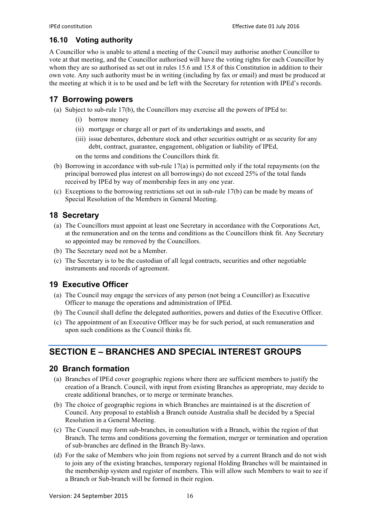### **16.10 Voting authority**

A Councillor who is unable to attend a meeting of the Council may authorise another Councillor to vote at that meeting, and the Councillor authorised will have the voting rights for each Councillor by whom they are so authorised as set out in rules 15.6 and 15.8 of this Constitution in addition to their own vote. Any such authority must be in writing (including by fax or email) and must be produced at the meeting at which it is to be used and be left with the Secretary for retention with IPEd's records.

# **17 Borrowing powers**

- (a) Subject to sub-rule 17(b), the Councillors may exercise all the powers of IPEd to:
	- (i) borrow money
	- (ii) mortgage or charge all or part of its undertakings and assets, and
	- (iii) issue debentures, debenture stock and other securities outright or as security for any debt, contract, guarantee, engagement, obligation or liability of IPEd,

on the terms and conditions the Councillors think fit.

- (b) Borrowing in accordance with sub-rule 17(a) is permitted only if the total repayments (on the principal borrowed plus interest on all borrowings) do not exceed 25% of the total funds received by IPEd by way of membership fees in any one year.
- (c) Exceptions to the borrowing restrictions set out in sub-rule 17(b) can be made by means of Special Resolution of the Members in General Meeting.

# **18 Secretary**

- (a) The Councillors must appoint at least one Secretary in accordance with the Corporations Act, at the remuneration and on the terms and conditions as the Councillors think fit. Any Secretary so appointed may be removed by the Councillors.
- (b) The Secretary need not be a Member.
- (c) The Secretary is to be the custodian of all legal contracts, securities and other negotiable instruments and records of agreement.

# **19 Executive Officer**

- (a) The Council may engage the services of any person (not being a Councillor) as Executive Officer to manage the operations and administration of IPEd.
- (b) The Council shall define the delegated authorities, powers and duties of the Executive Officer.
- (c) The appointment of an Executive Officer may be for such period, at such remuneration and upon such conditions as the Council thinks fit.

# **SECTION E – BRANCHES AND SPECIAL INTEREST GROUPS**

# **20 Branch formation**

- (a) Branches of IPEd cover geographic regions where there are sufficient members to justify the creation of a Branch. Council, with input from existing Branches as appropriate, may decide to create additional branches, or to merge or terminate branches.
- (b) The choice of geographic regions in which Branches are maintained is at the discretion of Council. Any proposal to establish a Branch outside Australia shall be decided by a Special Resolution in a General Meeting.
- (c) The Council may form sub-branches, in consultation with a Branch, within the region of that Branch. The terms and conditions governing the formation, merger or termination and operation of sub-branches are defined in the Branch By-laws.
- (d) For the sake of Members who join from regions not served by a current Branch and do not wish to join any of the existing branches, temporary regional Holding Branches will be maintained in the membership system and register of members. This will allow such Members to wait to see if a Branch or Sub-branch will be formed in their region.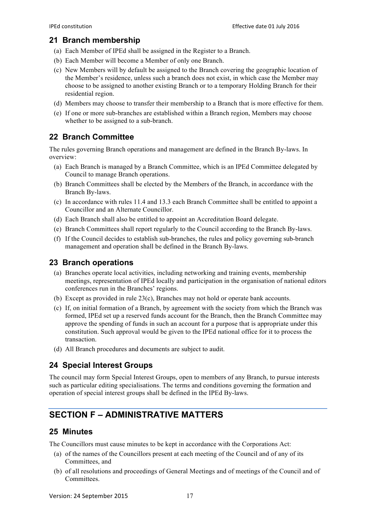### **21 Branch membership**

- (a) Each Member of IPEd shall be assigned in the Register to a Branch.
- (b) Each Member will become a Member of only one Branch.
- (c) New Members will by default be assigned to the Branch covering the geographic location of the Member's residence, unless such a branch does not exist, in which case the Member may choose to be assigned to another existing Branch or to a temporary Holding Branch for their residential region.
- (d) Members may choose to transfer their membership to a Branch that is more effective for them.
- (e) If one or more sub-branches are established within a Branch region, Members may choose whether to be assigned to a sub-branch.

# **22 Branch Committee**

The rules governing Branch operations and management are defined in the Branch By-laws. In overview:

- (a) Each Branch is managed by a Branch Committee, which is an IPEd Committee delegated by Council to manage Branch operations.
- (b) Branch Committees shall be elected by the Members of the Branch, in accordance with the Branch By-laws.
- (c) In accordance with rules 11.4 and 13.3 each Branch Committee shall be entitled to appoint a Councillor and an Alternate Councillor.
- (d) Each Branch shall also be entitled to appoint an Accreditation Board delegate.
- (e) Branch Committees shall report regularly to the Council according to the Branch By-laws.
- (f) If the Council decides to establish sub-branches, the rules and policy governing sub-branch management and operation shall be defined in the Branch By-laws.

# **23 Branch operations**

- (a) Branches operate local activities, including networking and training events, membership meetings, representation of IPEd locally and participation in the organisation of national editors conferences run in the Branches' regions.
- (b) Except as provided in rule 23(c), Branches may not hold or operate bank accounts.
- (c) If, on initial formation of a Branch, by agreement with the society from which the Branch was formed, IPEd set up a reserved funds account for the Branch, then the Branch Committee may approve the spending of funds in such an account for a purpose that is appropriate under this constitution. Such approval would be given to the IPEd national office for it to process the transaction.
- (d) All Branch procedures and documents are subject to audit.

# **24 Special Interest Groups**

The council may form Special Interest Groups, open to members of any Branch, to pursue interests such as particular editing specialisations. The terms and conditions governing the formation and operation of special interest groups shall be defined in the IPEd By-laws.

# **SECTION F – ADMINISTRATIVE MATTERS**

# **25 Minutes**

The Councillors must cause minutes to be kept in accordance with the Corporations Act:

- (a) of the names of the Councillors present at each meeting of the Council and of any of its Committees, and
- (b) of all resolutions and proceedings of General Meetings and of meetings of the Council and of Committees.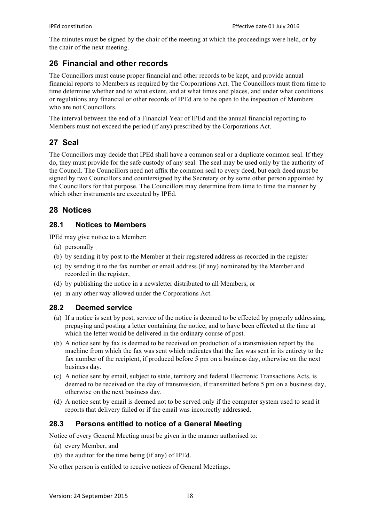The minutes must be signed by the chair of the meeting at which the proceedings were held, or by the chair of the next meeting.

# **26 Financial and other records**

The Councillors must cause proper financial and other records to be kept, and provide annual financial reports to Members as required by the Corporations Act. The Councillors must from time to time determine whether and to what extent, and at what times and places, and under what conditions or regulations any financial or other records of IPEd are to be open to the inspection of Members who are not Councillors.

The interval between the end of a Financial Year of IPEd and the annual financial reporting to Members must not exceed the period (if any) prescribed by the Corporations Act.

# **27 Seal**

The Councillors may decide that IPEd shall have a common seal or a duplicate common seal. If they do, they must provide for the safe custody of any seal. The seal may be used only by the authority of the Council. The Councillors need not affix the common seal to every deed, but each deed must be signed by two Councillors and countersigned by the Secretary or by some other person appointed by the Councillors for that purpose. The Councillors may determine from time to time the manner by which other instruments are executed by IPEd.

# **28 Notices**

### **28.1 Notices to Members**

IPEd may give notice to a Member:

- (a) personally
- (b) by sending it by post to the Member at their registered address as recorded in the register
- (c) by sending it to the fax number or email address (if any) nominated by the Member and recorded in the register,
- (d) by publishing the notice in a newsletter distributed to all Members, or
- (e) in any other way allowed under the Corporations Act.

### **28.2 Deemed service**

- (a) If a notice is sent by post, service of the notice is deemed to be effected by properly addressing, prepaying and posting a letter containing the notice, and to have been effected at the time at which the letter would be delivered in the ordinary course of post.
- (b) A notice sent by fax is deemed to be received on production of a transmission report by the machine from which the fax was sent which indicates that the fax was sent in its entirety to the fax number of the recipient, if produced before 5 pm on a business day, otherwise on the next business day.
- (c) A notice sent by email, subject to state, territory and federal Electronic Transactions Acts, is deemed to be received on the day of transmission, if transmitted before 5 pm on a business day, otherwise on the next business day.
- (d) A notice sent by email is deemed not to be served only if the computer system used to send it reports that delivery failed or if the email was incorrectly addressed.

### **28.3 Persons entitled to notice of a General Meeting**

Notice of every General Meeting must be given in the manner authorised to:

- (a) every Member, and
- (b) the auditor for the time being (if any) of IPEd.

No other person is entitled to receive notices of General Meetings.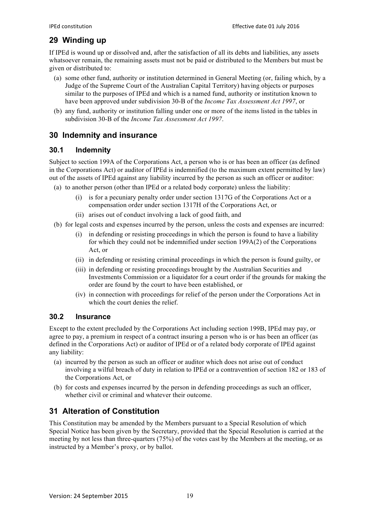# **29 Winding up**

If IPEd is wound up or dissolved and, after the satisfaction of all its debts and liabilities, any assets whatsoever remain, the remaining assets must not be paid or distributed to the Members but must be given or distributed to:

- (a) some other fund, authority or institution determined in General Meeting (or, failing which, by a Judge of the Supreme Court of the Australian Capital Territory) having objects or purposes similar to the purposes of IPEd and which is a named fund, authority or institution known to have been approved under subdivision 30-B of the *Income Tax Assessment Act 1997*, or
- (b) any fund, authority or institution falling under one or more of the items listed in the tables in subdivision 30-B of the *Income Tax Assessment Act 1997*.

# **30 Indemnity and insurance**

### **30.1 Indemnity**

Subject to section 199A of the Corporations Act, a person who is or has been an officer (as defined in the Corporations Act) or auditor of IPEd is indemnified (to the maximum extent permitted by law) out of the assets of IPEd against any liability incurred by the person as such an officer or auditor:

- (a) to another person (other than IPEd or a related body corporate) unless the liability:
	- (i) is for a pecuniary penalty order under section 1317G of the Corporations Act or a compensation order under section 1317H of the Corporations Act, or
	- (ii) arises out of conduct involving a lack of good faith, and
- (b) for legal costs and expenses incurred by the person, unless the costs and expenses are incurred:
	- (i) in defending or resisting proceedings in which the person is found to have a liability for which they could not be indemnified under section 199A(2) of the Corporations Act, or
	- (ii) in defending or resisting criminal proceedings in which the person is found guilty, or
	- (iii) in defending or resisting proceedings brought by the Australian Securities and Investments Commission or a liquidator for a court order if the grounds for making the order are found by the court to have been established, or
	- (iv) in connection with proceedings for relief of the person under the Corporations Act in which the court denies the relief.

# **30.2 Insurance**

Except to the extent precluded by the Corporations Act including section 199B, IPEd may pay, or agree to pay, a premium in respect of a contract insuring a person who is or has been an officer (as defined in the Corporations Act) or auditor of IPEd or of a related body corporate of IPEd against any liability:

- (a) incurred by the person as such an officer or auditor which does not arise out of conduct involving a wilful breach of duty in relation to IPEd or a contravention of section 182 or 183 of the Corporations Act, or
- (b) for costs and expenses incurred by the person in defending proceedings as such an officer, whether civil or criminal and whatever their outcome.

# **31 Alteration of Constitution**

This Constitution may be amended by the Members pursuant to a Special Resolution of which Special Notice has been given by the Secretary, provided that the Special Resolution is carried at the meeting by not less than three-quarters (75%) of the votes cast by the Members at the meeting, or as instructed by a Member's proxy, or by ballot.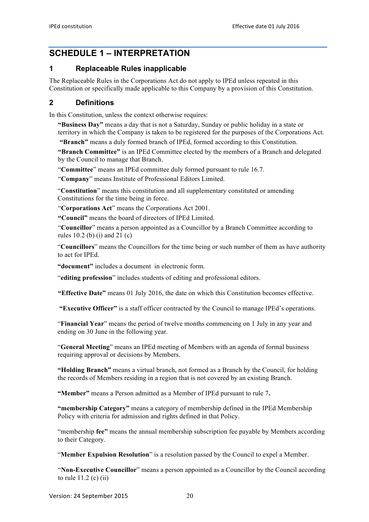# **SCHEDULE 1 – INTERPRETATION**

### **1 Replaceable Rules inapplicable**

The Replaceable Rules in the Corporations Act do not apply to IPEd unless repeated in this Constitution or specifically made applicable to this Company by a provision of this Constitution.

### **2 Definitions**

In this Constitution, unless the context otherwise requires:

**"Business Day"** means a day that is not a Saturday, Sunday or public holiday in a state or territory in which the Company is taken to be registered for the purposes of the Corporations Act.

**"Branch"** means a duly formed branch of IPEd, formed according to this Constitution.

**"Branch Committee"** is an IPEd Committee elected by the members of a Branch and delegated by the Council to manage that Branch.

"**Committee**" means an IPEd committee duly formed pursuant to rule 16.7.

"**Company**" means Institute of Professional Editors Limited.

"**Constitution**" means this constitution and all supplementary constituted or amending Constitutions for the time being in force.

"**Corporations Act**" means the Corporations Act 2001.

**"Council"** means the board of directors of IPEd Limited.

"**Councillor**" means a person appointed as a Councillor by a Branch Committee according to rules 10.2 (b) (i) and  $21$  (c)

"**Councillors**" means the Councillors for the time being or such number of them as have authority to act for IPEd.

**"document"** includes a document in electronic form.

"**editing profession**" includes students of editing and professional editors.

**"Effective Date"** means 01 July 2016, the date on which this Constitution becomes effective.

**"Executive Officer"** is a staff officer contracted by the Council to manage IPEd's operations.

"**Financial Year**" means the period of twelve months commencing on 1 July in any year and ending on 30 June in the following year.

"**General Meeting**" means an IPEd meeting of Members with an agenda of formal business requiring approval or decisions by Members.

**"Holding Branch"** means a virtual branch, not formed as a Branch by the Council, for holding the records of Members residing in a region that is not covered by an existing Branch.

**"Member"** means a Person admitted as a Member of IPEd pursuant to rule 7**.** 

**"membership Category"** means a category of membership defined in the IPEd Membership Policy with criteria for admission and rights defined in that Policy.

"membership **fee"** means the annual membership subscription fee payable by Members according to their Category.

"**Member Expulsion Resolution**" is a resolution passed by the Council to expel a Member.

"**Non-Executive Councillor**" means a person appointed as a Councillor by the Council according to rule 11.2 (c) (ii)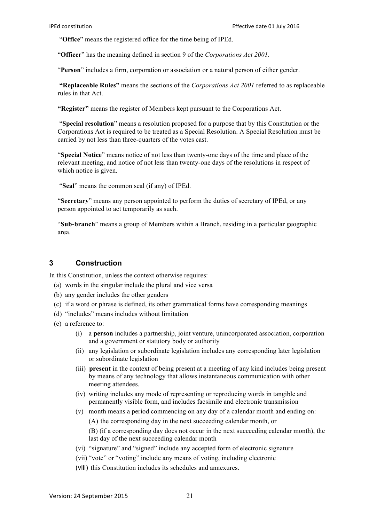"**Office**" means the registered office for the time being of IPEd.

"**Officer**" has the meaning defined in section 9 of the *Corporations Act 2001*.

"**Person**" includes a firm, corporation or association or a natural person of either gender.

**"Replaceable Rules"** means the sections of the *Corporations Act 2001* referred to as replaceable rules in that Act.

**"Register"** means the register of Members kept pursuant to the Corporations Act.

"**Special resolution**" means a resolution proposed for a purpose that by this Constitution or the Corporations Act is required to be treated as a Special Resolution. A Special Resolution must be carried by not less than three-quarters of the votes cast.

"**Special Notice**" means notice of not less than twenty-one days of the time and place of the relevant meeting, and notice of not less than twenty-one days of the resolutions in respect of which notice is given.

"**Seal**" means the common seal (if any) of IPEd.

"**Secretary**" means any person appointed to perform the duties of secretary of IPEd, or any person appointed to act temporarily as such.

"**Sub-branch**" means a group of Members within a Branch, residing in a particular geographic area.

#### **3 Construction**

In this Constitution, unless the context otherwise requires:

- (a) words in the singular include the plural and vice versa
- (b) any gender includes the other genders
- (c) if a word or phrase is defined, its other grammatical forms have corresponding meanings
- (d) "includes" means includes without limitation
- (e) a reference to:
	- (i) a **person** includes a partnership, joint venture, unincorporated association, corporation and a government or statutory body or authority
	- (ii) any legislation or subordinate legislation includes any corresponding later legislation or subordinate legislation
	- (iii) **present** in the context of being present at a meeting of any kind includes being present by means of any technology that allows instantaneous communication with other meeting attendees.
	- (iv) writing includes any mode of representing or reproducing words in tangible and permanently visible form, and includes facsimile and electronic transmission
	- (v) month means a period commencing on any day of a calendar month and ending on: (A) the corresponding day in the next succeeding calendar month, or
		- (B) (if a corresponding day does not occur in the next succeeding calendar month), the last day of the next succeeding calendar month
	- (vi) "signature" and "signed" include any accepted form of electronic signature
	- (vii) "vote" or "voting" include any means of voting, including electronic
	- (viii) this Constitution includes its schedules and annexures.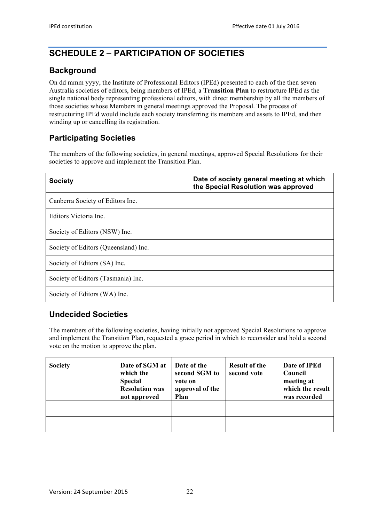# **SCHEDULE 2 – PARTICIPATION OF SOCIETIES**

# **Background**

On dd mmm yyyy, the Institute of Professional Editors (IPEd) presented to each of the then seven Australia societies of editors, being members of IPEd, a **Transition Plan** to restructure IPEd as the single national body representing professional editors, with direct membership by all the members of those societies whose Members in general meetings approved the Proposal. The process of restructuring IPEd would include each society transferring its members and assets to IPEd, and then winding up or cancelling its registration.

# **Participating Societies**

The members of the following societies, in general meetings, approved Special Resolutions for their societies to approve and implement the Transition Plan.

| <b>Society</b>                       | Date of society general meeting at which<br>the Special Resolution was approved |
|--------------------------------------|---------------------------------------------------------------------------------|
| Canberra Society of Editors Inc.     |                                                                                 |
| Editors Victoria Inc.                |                                                                                 |
| Society of Editors (NSW) Inc.        |                                                                                 |
| Society of Editors (Queensland) Inc. |                                                                                 |
| Society of Editors (SA) Inc.         |                                                                                 |
| Society of Editors (Tasmania) Inc.   |                                                                                 |
| Society of Editors (WA) Inc.         |                                                                                 |

# **Undecided Societies**

The members of the following societies, having initially not approved Special Resolutions to approve and implement the Transition Plan, requested a grace period in which to reconsider and hold a second vote on the motion to approve the plan.

| <b>Society</b> | Date of SGM at<br>which the<br><b>Special</b><br><b>Resolution was</b><br>not approved | Date of the<br>second SGM to<br>vote on<br>approval of the<br>Plan | <b>Result of the</b><br>second vote | Date of IPEd<br>Council<br>meeting at<br>which the result<br>was recorded |
|----------------|----------------------------------------------------------------------------------------|--------------------------------------------------------------------|-------------------------------------|---------------------------------------------------------------------------|
|                |                                                                                        |                                                                    |                                     |                                                                           |
|                |                                                                                        |                                                                    |                                     |                                                                           |